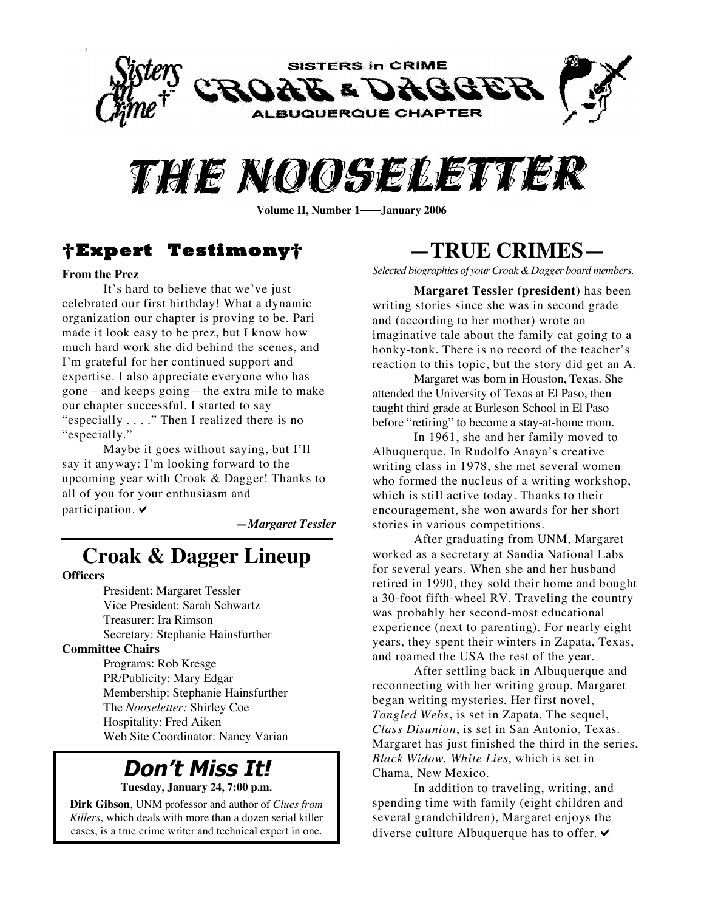



Volume II, Number 1—**January 2006** 

### **†Expert Testimony†**

#### **From the Prez**

It's hard to believe that we've just celebrated our first birthday! What a dynamic organization our chapter is proving to be. Pari made it look easy to be prez, but I know how much hard work she did behind the scenes, and I'm grateful for her continued support and expertise. I also appreciate everyone who has gone—and keeps going—the extra mile to make our chapter successful. I started to say "especially . . . ." Then I realized there is no "especially."

Maybe it goes without saying, but I'll say it anyway: I'm looking forward to the upcoming year with Croak & Dagger! Thanks to all of you for your enthusiasm and participation.  $\blacktriangleright$ 

*—Margaret Tessler*

### **Croak & Dagger Lineup**

#### **Officers**

President: Margaret Tessler Vice President: Sarah Schwartz Treasurer: Ira Rimson Secretary: Stephanie Hainsfurther

#### **Committee Chairs**

Programs: Rob Kresge PR/Publicity: Mary Edgar Membership: Stephanie Hainsfurther The *Nooseletter:* Shirley Coe Hospitality: Fred Aiken Web Site Coordinator: Nancy Varian

## **Don't Miss It!**

**Tuesday, January 24, 7:00 p.m.**

**Dirk Gibson**, UNM professor and author of *Clues from Killers*, which deals with more than a dozen serial killer cases, is a true crime writer and technical expert in one.

# **—TRUE CRIMES—**

*Selected biographies of your Croak &Dagger board members.*

**Margaret Tessler (president)** has been writing stories since she was in second grade and (according to her mother) wrote an imaginative tale about the family cat going to a honky-tonk. There is no record of the teacher's reaction to this topic, but the story did get an A.

Margaret was born in Houston, Texas. She attended the University of Texas at El Paso, then taught third grade at Burleson School in El Paso before "retiring" to become a stay-at-home mom.

In 1961, she and her family moved to Albuquerque. In Rudolfo Anaya's creative writing class in 1978, she met several women who formed the nucleus of a writing workshop, which is still active today. Thanks to their encouragement, she won awards for her short stories in various competitions.

After graduating from UNM, Margaret worked as a secretary at Sandia National Labs for several years. When she and her husband retired in 1990, they sold their home and bought a 30-foot fifth-wheel RV. Traveling the country was probably her second-most educational experience (next to parenting). For nearly eight years, they spent their winters in Zapata, Texas, and roamed the USA the rest of the year.

After settling back in Albuquerque and reconnecting with her writing group, Margaret began writing mysteries. Her first novel, *Tangled Webs*, is set in Zapata. The sequel, *Class Disunion*, is set in San Antonio, Texas. Margaret has just finished the third in the series, *Black Widow, White Lies*, which is set in Chama, New Mexico.

In addition to traveling, writing, and spending time with family (eight children and several grandchildren), Margaret enjoys the diverse culture Albuquerque has to offer.  $\vee$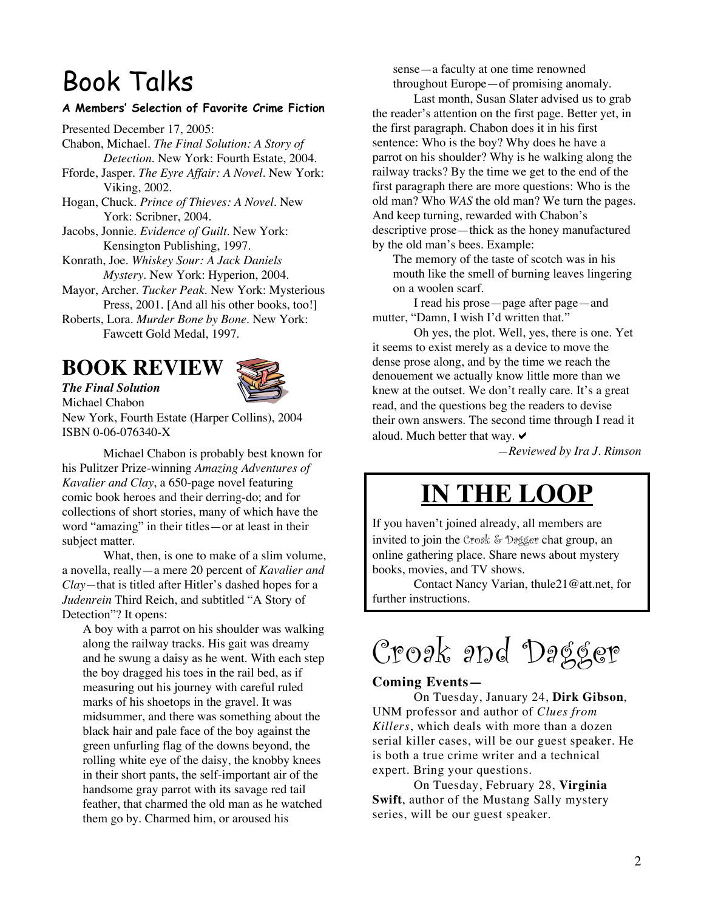# Book Talks

#### **A Members' Selection of Favorite Crime Fiction**

Presented December 17, 2005: Chabon, Michael. *The Final Solution: A Story of Detection.* New York: Fourth Estate, 2004.

- Fforde, Jasper. *The Eyre Affair: A Novel.* New York: Viking, 2002.
- Hogan, Chuck. *Prince of Thieves: A Novel.* New York: Scribner, 2004.
- Jacobs, Jonnie. *Evidence of Guilt.* New York: Kensington Publishing, 1997.

Konrath, Joe. *Whiskey Sour: A Jack Daniels Mystery*. New York: Hyperion, 2004.

- Mayor, Archer. *Tucker Peak.* New York: Mysterious Press, 2001. [And all his other books, too!]
- Roberts, Lora. *Murder Bone by Bone.* New York: Fawcett Gold Medal, 1997.

### **BOOK REVIEW**

*The Final Solution*



Michael Chabon New York, Fourth Estate (Harper Collins), 2004 ISBN 0-06-076340-X

Michael Chabon is probably best known for his Pulitzer Prize-winning *Amazing Adventures of Kavalier and Clay*, a 650-page novel featuring comic book heroes and their derring-do; and for collections of short stories, many of which have the word "amazing" in their titles—or at least in their subject matter.

What, then, is one to make of a slim volume, a novella, really—a mere 20 percent of *Kavalier and Clay—*that is titled after Hitler's dashed hopes for a *Judenrein* Third Reich, and subtitled "A Story of Detection"? It opens:

A boy with a parrot on his shoulder was walking along the railway tracks. His gait was dreamy and he swung a daisy as he went. With each step the boy dragged his toes in the rail bed, as if measuring out his journey with careful ruled marks of his shoetops in the gravel. It was midsummer, and there was something about the black hair and pale face of the boy against the green unfurling flag of the downs beyond, the rolling white eye of the daisy, the knobby knees in their short pants, the self-important air of the handsome gray parrot with its savage red tail feather, that charmed the old man as he watched them go by. Charmed him, or aroused his

sense—a faculty at one time renowned throughout Europe—of promising anomaly.

Last month, Susan Slater advised us to grab the reader's attention on the first page. Better yet, in the first paragraph. Chabon does it in his first sentence: Who is the boy? Why does he have a parrot on his shoulder? Why is he walking along the railway tracks? By the time we get to the end of the first paragraph there are more questions: Who is the old man? Who *WAS* the old man? We turn the pages. And keep turning, rewarded with Chabon's descriptive prose—thick as the honey manufactured by the old man's bees. Example:

The memory of the taste of scotch was in his mouth like the smell of burning leaves lingering on a woolen scarf.

I read his prose—page after page—and mutter, "Damn, I wish I'd written that."

Oh yes, the plot. Well, yes, there is one. Yet it seems to exist merely as a device to move the dense prose along, and by the time we reach the denouement we actually know little more than we knew at the outset. We don't really care. It's a great read, and the questions beg the readers to devise their own answers. The second time through I read it aloud. Much better that way.  $\triangledown$ 

*—Reviewed by Ira J. Rimson*

# **IN THE LOOP**

If you haven't joined already, all members are invited to join the Croak & Dagger chat group, an online gathering place. Share news about mystery books, movies, and TV shows.

Contact Nancy Varian, thule21@att.net, for further instructions.

Croak and Dagger

#### **Coming Events—**

On Tuesday, January 24, **Dirk Gibson**, UNM professor and author of *Clues from Killers*, which deals with more than a dozen serial killer cases, will be our guest speaker. He is both a true crime writer and a technical expert. Bring your questions.

On Tuesday, February 28, **Virginia Swift**, author of the Mustang Sally mystery series, will be our guest speaker.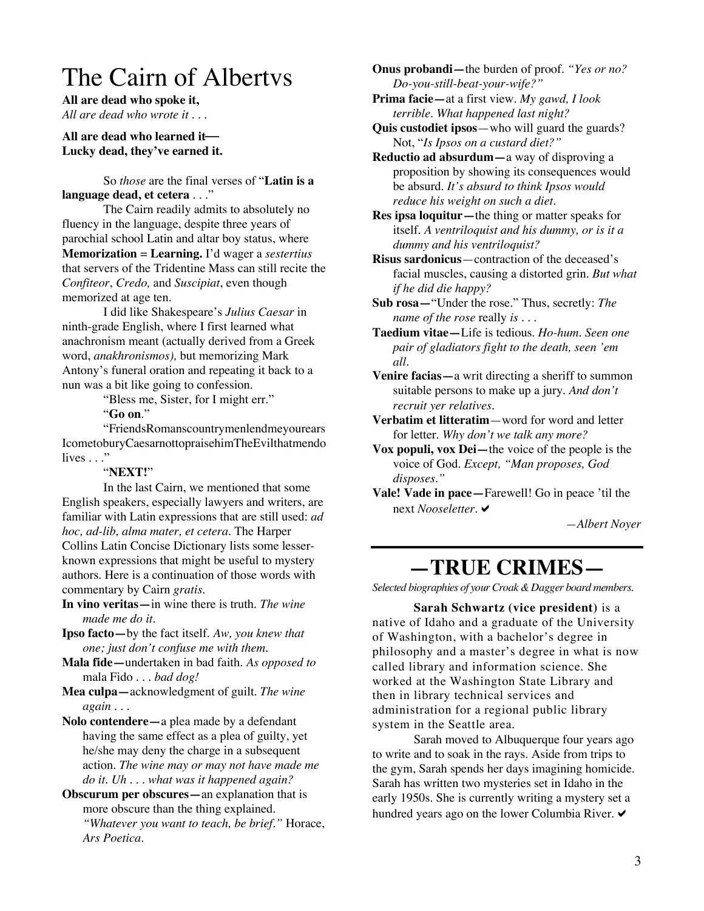# The Cairn of Albertvs

**All are dead who spoke it,** *All are dead who wrote it . . .*

#### **All are dead who learned it Lucky dead, they've earned it.**

So *those* are the final verses of "**Latin is a language dead, et cetera** . . ."

The Cairn readily admits to absolutely no fluency in the language, despite three years of parochial school Latin and altar boy status, where **Memorization** = **Learning.** I'd wager a *sestertius* that servers of the Tridentine Mass can still recite the *Confiteor*, *Credo,* and *Suscipiat*, even though memorized at age ten.

I did like Shakespeare's *Julius Caesar* in ninth-grade English, where I first learned what anachronism meant (actually derived from a Greek word, *anakhronismos),* but memorizing Mark Antony's funeral oration and repeating it back to a nun was a bit like going to confession.

"Bless me, Sister, for I might err."

"**Go on**."

"FriendsRomanscountrymenlendmeyourears IcometoburyCaesarnottopraisehimTheEvilthatmendo lives  $\ldots$ "

#### "**NEXT!**"

In the last Cairn, we mentioned that some English speakers, especially lawyers and writers, are familiar with Latin expressions that are still used: *ad hoc, ad-lib, alma mater, et cetera*. The Harper Collins Latin Concise Dictionary lists some lesserknown expressions that might be useful to mystery authors. Here is a continuation of those words with commentary by Cairn *gratis*.

**In vino veritas—**in wine there is truth. *The wine made me do it.*

**Ipso facto—**by the fact itself. *Aw, you knew that one; just don't confuse me with them.*

**Mala fide—**undertaken in bad faith. *As opposed to* mala Fido *. . . bad dog!*

**Mea culpa—**acknowledgment of guilt. *The wine again . . .*

**Nolo contendere—**a plea made by a defendant having the same effect as a plea of guilty, yet he/she may deny the charge in a subsequent action. *The wine may or may not have made me do it. Uh . . . what was it happened again?*

**Obscurum per obscures—**an explanation that is more obscure than the thing explained. *"Whatever you want to teach, be brief."* Horace, *Ars Poetica.*

**Onus probandi—**the burden of proof. *"Yes or no? Do-you-still-beat-your-wife?"*

**Prima facie—**at a first view. *My gawd, I look terrible. What happened last night?*

**Quis custodiet ipsos**—who will guard the guards? Not, "*Is Ipsos on a custard diet?"*

**Reductio ad absurdum—**a way of disproving a proposition by showing its consequences would be absurd. *It's absurd to think Ipsos would reduce his weight on such a diet.*

**Res ipsa loquitur—**the thing or matter speaks for itself. *A ventriloquist and his dummy, or is it a dummy and his ventriloquist?*

**Risus sardonicus**—contraction of the deceased's facial muscles, causing a distorted grin. *But what if he did die happy?*

**Sub rosa—**"Under the rose." Thus, secretly: *The name of the rose* really *is* . . .

**Taedium vitae—**Life is tedious*. Ho-hum. Seen one pair of gladiators fight to the death, seen 'em all.*

**Venire facias—**a writ directing a sheriff to summon suitable persons to make up a jury. *And don't recruit yer relatives.*

**Verbatim et litteratim**—word for word and letter for letter. *Why don't we talk any more?*

**Vox populi, vox Dei—**the voice of the people is the voice of God. *Except, "Man proposes, God disposes."*

**Vale! Vade in pace—**Farewell! Go in peace 'til the next *Nooseletter*.

*—Albert Noyer*

## **—TRUE CRIMES—**

*Selected biographies of your Croak &Dagger board members.*

**Sarah Schwartz (vice president)** is a native of Idaho and a graduate of the University of Washington, with a bachelor's degree in philosophy and a master's degree in what is now called library and information science. She worked at the Washington State Library and then in library technical services and administration for a regional public library system in the Seattle area.

Sarah moved to Albuquerque four years ago to write and to soak in the rays. Aside from trips to the gym, Sarah spends her days imagining homicide. Sarah has written two mysteries set in Idaho in the early 1950s. She is currently writing a mystery set a hundred years ago on the lower Columbia River.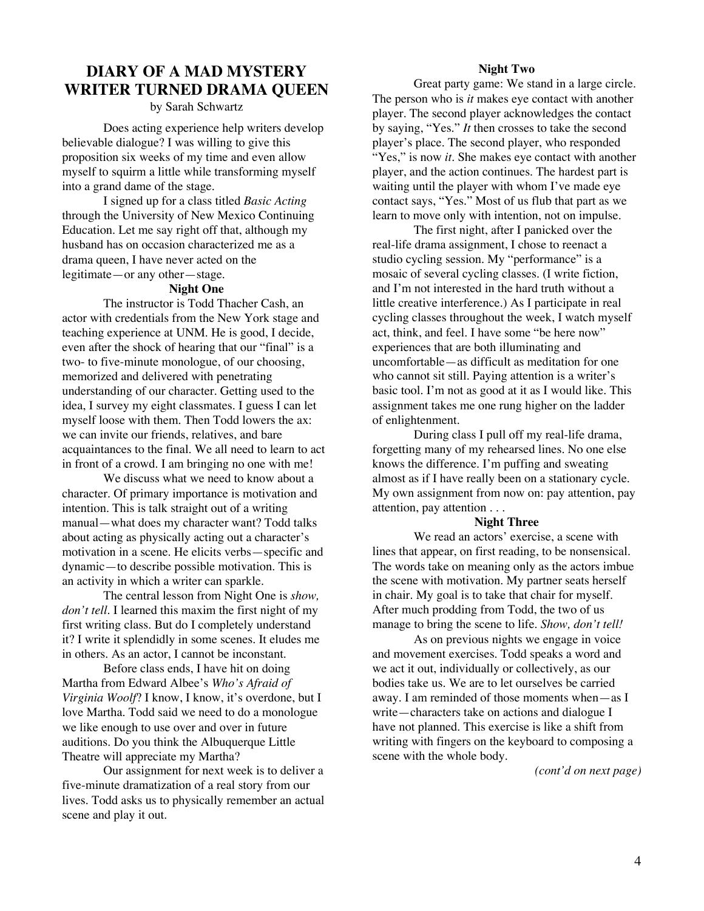### **DIARY OF A MAD MYSTERY WRITER TURNED DRAMA QUEEN**

by Sarah Schwartz

Does acting experience help writers develop believable dialogue? I was willing to give this proposition six weeks of my time and even allow myself to squirm a little while transforming myself into a grand dame of the stage.

I signed up for a class titled *Basic Acting* through the University of New Mexico Continuing Education. Let me say right off that, although my husband has on occasion characterized me as a drama queen, I have never acted on the legitimate—or any other—stage.

#### **Night One**

The instructor is Todd Thacher Cash, an actor with credentials from the New York stage and teaching experience at UNM. He is good, I decide, even after the shock of hearing that our "final" is a two- to five-minute monologue, of our choosing, memorized and delivered with penetrating understanding of our character. Getting used to the idea, I survey my eight classmates. I guess I can let myself loose with them. Then Todd lowers the ax: we can invite our friends, relatives, and bare acquaintances to the final. We all need to learn to act in front of a crowd. I am bringing no one with me!

We discuss what we need to know about a character. Of primary importance is motivation and intention. This is talk straight out of a writing manual—what does my character want? Todd talks about acting as physically acting out a character's motivation in a scene. He elicits verbs—specific and dynamic—to describe possible motivation. This is an activity in which a writer can sparkle.

The central lesson from Night One is *show, don't tell*. I learned this maxim the first night of my first writing class. But do I completely understand it? I write it splendidly in some scenes. It eludes me in others. As an actor, I cannot be inconstant.

Before class ends, I have hit on doing Martha from Edward Albee's *Who's Afraid of Virginia Woolf*? I know, I know, it's overdone, but I love Martha. Todd said we need to do a monologue we like enough to use over and over in future auditions. Do you think the Albuquerque Little Theatre will appreciate my Martha?

Our assignment for next week is to deliver a five-minute dramatization of a real story from our lives. Todd asks us to physically remember an actual scene and play it out.

#### **Night Two**

Great party game: We stand in a large circle. The person who is *it* makes eye contact with another player. The second player acknowledges the contact by saying, "Yes." *It* then crosses to take the second player's place. The second player, who responded "Yes," is now *it*. She makes eye contact with another player, and the action continues. The hardest part is waiting until the player with whom I've made eye contact says, "Yes." Most of us flub that part as we learn to move only with intention, not on impulse.

The first night, after I panicked over the real-life drama assignment, I chose to reenact a studio cycling session. My "performance" is a mosaic of several cycling classes. (I write fiction, and I'm not interested in the hard truth without a little creative interference.) As I participate in real cycling classes throughout the week, I watch myself act, think, and feel. I have some "be here now" experiences that are both illuminating and uncomfortable—as difficult as meditation for one who cannot sit still. Paying attention is a writer's basic tool. I'm not as good at it as I would like. This assignment takes me one rung higher on the ladder of enlightenment.

During class I pull off my real-life drama, forgetting many of my rehearsed lines. No one else knows the difference. I'm puffing and sweating almost as if I have really been on a stationary cycle. My own assignment from now on: pay attention, pay attention, pay attention . . .

#### **Night Three**

We read an actors' exercise, a scene with lines that appear, on first reading, to be nonsensical. The words take on meaning only as the actors imbue the scene with motivation. My partner seats herself in chair. My goal is to take that chair for myself. After much prodding from Todd, the two of us manage to bring the scene to life. *Show, don't tell!*

As on previous nights we engage in voice and movement exercises. Todd speaks a word and we act it out, individually or collectively, as our bodies take us. We are to let ourselves be carried away. I am reminded of those moments when—as I write—characters take on actions and dialogue I have not planned. This exercise is like a shift from writing with fingers on the keyboard to composing a scene with the whole body.

*(cont'd on next page)*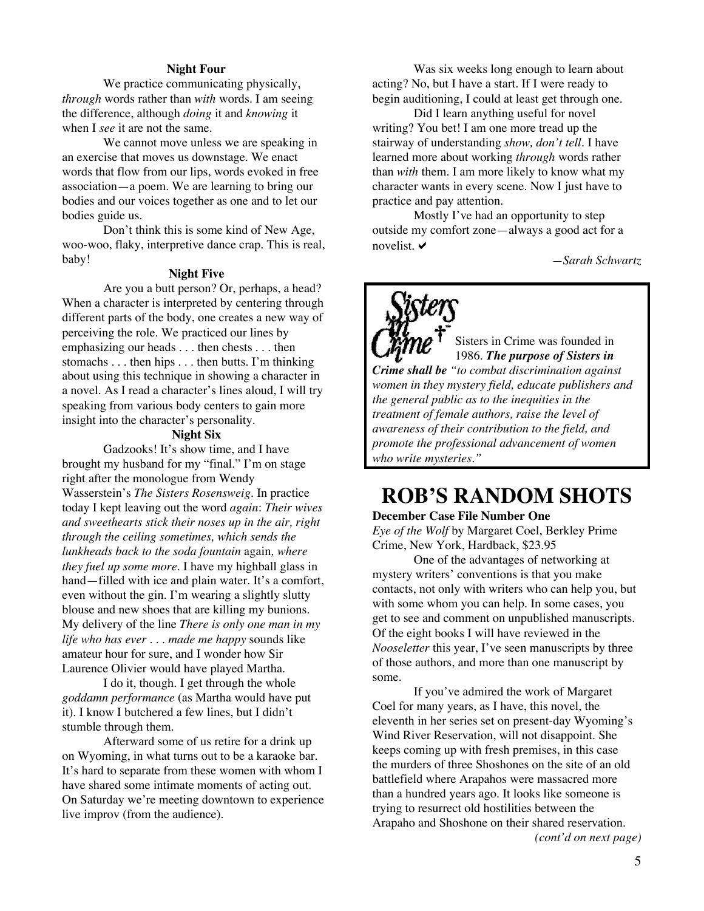#### **Night Four**

We practice communicating physically, *through* words rather than *with* words. I am seeing the difference, although *doing* it and *knowing* it when I *see* it are not the same.

We cannot move unless we are speaking in an exercise that moves us downstage. We enact words that flow from our lips, words evoked in free association—a poem. We are learning to bring our bodies and our voices together as one and to let our bodies guide us.

Don't think this is some kind of New Age, woo-woo, flaky, interpretive dance crap. This is real, baby!

#### **Night Five**

Are you a butt person? Or, perhaps, a head? When a character is interpreted by centering through different parts of the body, one creates a new way of perceiving the role. We practiced our lines by emphasizing our heads . . . then chests . . . then stomachs . . . then hips . . . then butts. I'm thinking about using this technique in showing a character in a novel. As I read a character's lines aloud, I will try speaking from various body centers to gain more insight into the character's personality.

#### **Night Six**

Gadzooks! It's show time, and I have brought my husband for my "final." I'm on stage right after the monologue from Wendy Wasserstein's *The Sisters Rosensweig.* In practice today I kept leaving out the word *again*: *Their wives and sweethearts stick their noses up in the air, right through the ceiling sometimes, which sends the lunkheads back to the soda fountain* again*, where they fuel up some more*. I have my highball glass in hand—filled with ice and plain water. It's a comfort, even without the gin. I'm wearing a slightly slutty blouse and new shoes that are killing my bunions. My delivery of the line *There is only one man in my life who has ever . . . made me happy* sounds like amateur hour for sure, and I wonder how Sir Laurence Olivier would have played Martha.

I do it, though. I get through the whole *goddamn performance* (as Martha would have put it). I know I butchered a few lines, but I didn't stumble through them.

Afterward some of us retire for a drink up on Wyoming, in what turns out to be a karaoke bar. It's hard to separate from these women with whom I have shared some intimate moments of acting out. On Saturday we're meeting downtown to experience live improv (from the audience).

Was six weeks long enough to learn about acting? No, but I have a start. If I were ready to begin auditioning, I could at least get through one.

Did I learn anything useful for novel writing? You bet! I am one more tread up the stairway of understanding *show, don't tell*. I have learned more about working *through* words rather than *with* them. I am more likely to know what my character wants in every scene. Now I just have to practice and pay attention.

Mostly I've had an opportunity to step outside my comfort zone—always a good act for a novelist.  $\vee$ 

*—Sarah Schwartz*

Sisters in Crime was founded in 1986. *The purpose of Sisters in Crime shall be "to combat discrimination against women in they mystery field, educate publishers and the general public as to the inequities in the treatment of female authors, raise the level of awareness of their contribution to the field, and promote the professional advancement of women who write mysteries."*

### **ROB'S RANDOM SHOTS**

#### **December Case File Number One**

*Eye of the Wolf* by Margaret Coel, Berkley Prime Crime, New York, Hardback, \$23.95

One of the advantages of networking at mystery writers' conventions is that you make contacts, not only with writers who can help you, but with some whom you can help. In some cases, you get to see and comment on unpublished manuscripts. Of the eight books I will have reviewed in the *Nooseletter* this year, I've seen manuscripts by three of those authors, and more than one manuscript by some.

If you've admired the work of Margaret Coel for many years, as I have, this novel, the eleventh in her series set on present-day Wyoming's Wind River Reservation, will not disappoint. She keeps coming up with fresh premises, in this case the murders of three Shoshones on the site of an old battlefield where Arapahos were massacred more than a hundred years ago. It looks like someone is trying to resurrect old hostilities between the Arapaho and Shoshone on their shared reservation.  *(cont'd on next page)*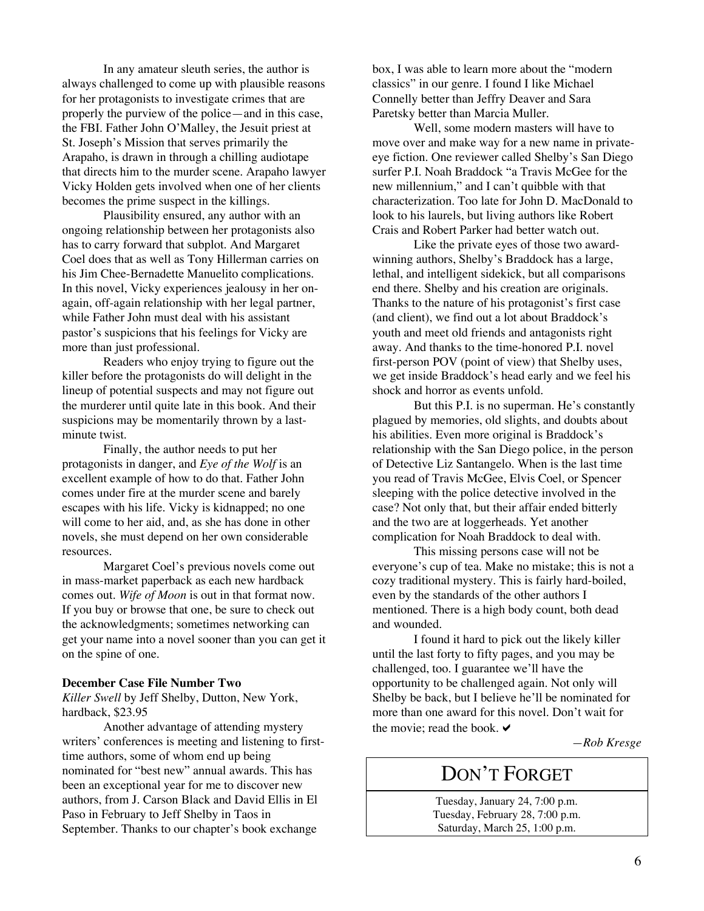In any amateur sleuth series, the author is always challenged to come up with plausible reasons for her protagonists to investigate crimes that are properly the purview of the police—and in this case, the FBI. Father John O'Malley, the Jesuit priest at St. Joseph's Mission that serves primarily the Arapaho, is drawn in through a chilling audiotape that directs him to the murder scene. Arapaho lawyer Vicky Holden gets involved when one of her clients becomes the prime suspect in the killings.

Plausibility ensured, any author with an ongoing relationship between her protagonists also has to carry forward that subplot. And Margaret Coel does that as well as Tony Hillerman carries on his Jim Chee-Bernadette Manuelito complications. In this novel, Vicky experiences jealousy in her onagain, off-again relationship with her legal partner, while Father John must deal with his assistant pastor's suspicions that his feelings for Vicky are more than just professional.

Readers who enjoy trying to figure out the killer before the protagonists do will delight in the lineup of potential suspects and may not figure out the murderer until quite late in this book. And their suspicions may be momentarily thrown by a lastminute twist.

Finally, the author needs to put her protagonists in danger, and *Eye of the Wolf* is an excellent example of how to do that. Father John comes under fire at the murder scene and barely escapes with his life. Vicky is kidnapped; no one will come to her aid, and, as she has done in other novels, she must depend on her own considerable resources.

Margaret Coel's previous novels come out in mass-market paperback as each new hardback comes out. *Wife of Moon* is out in that format now. If you buy or browse that one, be sure to check out the acknowledgments; sometimes networking can get your name into a novel sooner than you can get it on the spine of one.

#### **December Case File Number Two**

*Killer Swell* by Jeff Shelby, Dutton, New York, hardback, \$23.95

Another advantage of attending mystery writers' conferences is meeting and listening to firsttime authors, some of whom end up being nominated for "best new" annual awards. This has been an exceptional year for me to discover new authors, from J. Carson Black and David Ellis in El Paso in February to Jeff Shelby in Taos in September. Thanks to our chapter's book exchange

box, I was able to learn more about the "modern classics" in our genre. I found I like Michael Connelly better than Jeffry Deaver and Sara Paretsky better than Marcia Muller.

Well, some modern masters will have to move over and make way for a new name in privateeye fiction. One reviewer called Shelby's San Diego surfer P.I. Noah Braddock "a Travis McGee for the new millennium," and I can't quibble with that characterization. Too late for John D. MacDonald to look to his laurels, but living authors like Robert Crais and Robert Parker had better watch out.

Like the private eyes of those two awardwinning authors, Shelby's Braddock has a large, lethal, and intelligent sidekick, but all comparisons end there. Shelby and his creation are originals. Thanks to the nature of his protagonist's first case (and client), we find out a lot about Braddock's youth and meet old friends and antagonists right away. And thanks to the time-honored P.I. novel first-person POV (point of view) that Shelby uses, we get inside Braddock's head early and we feel his shock and horror as events unfold.

But this P.I. is no superman. He's constantly plagued by memories, old slights, and doubts about his abilities. Even more original is Braddock's relationship with the San Diego police, in the person of Detective Liz Santangelo. When is the last time you read of Travis McGee, Elvis Coel, or Spencer sleeping with the police detective involved in the case? Not only that, but their affair ended bitterly and the two are at loggerheads. Yet another complication for Noah Braddock to deal with.

This missing persons case will not be everyone's cup of tea. Make no mistake; this is not a cozy traditional mystery. This is fairly hard-boiled, even by the standards of the other authors I mentioned. There is a high body count, both dead and wounded.

I found it hard to pick out the likely killer until the last forty to fifty pages, and you may be challenged, too. I guarantee we'll have the opportunity to be challenged again. Not only will Shelby be back, but I believe he'll be nominated for more than one award for this novel. Don't wait for the movie; read the book.  $\blacktriangleright$ 

*—Rob Kresge*

### DON'T FORGET

Tuesday, January 24, 7:00 p.m. Tuesday, February 28, 7:00 p.m. Saturday, March 25, 1:00 p.m.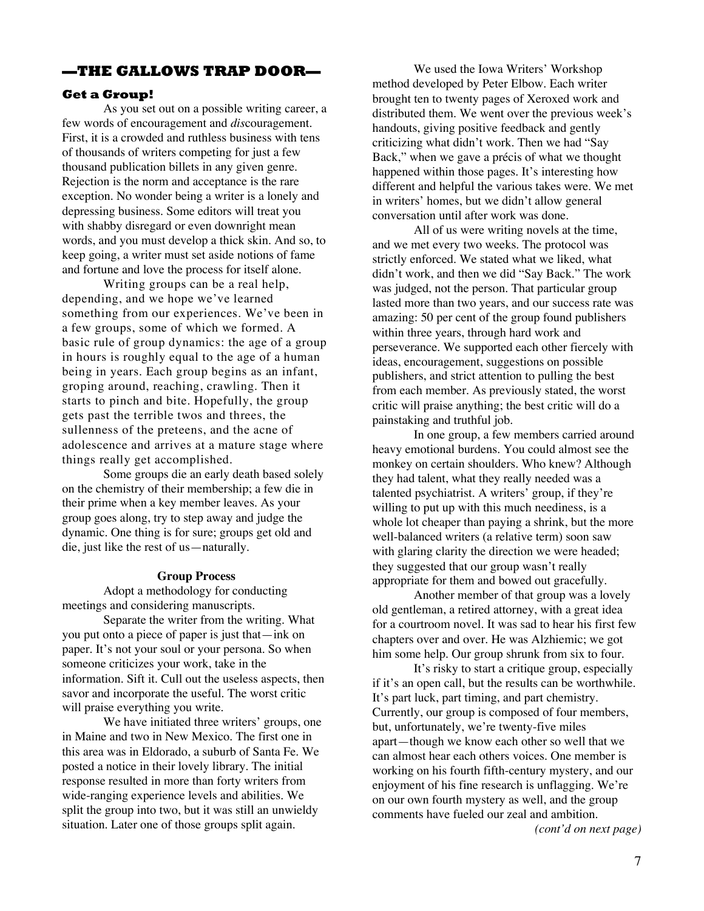#### **—THE GALLOWS TRAP DOOR—**

#### **Get a Group!**

As you set out on a possible writing career, a few words of encouragement and *dis*couragement. First, it is a crowded and ruthless business with tens of thousands of writers competing for just a few thousand publication billets in any given genre. Rejection is the norm and acceptance is the rare exception. No wonder being a writer is a lonely and depressing business. Some editors will treat you with shabby disregard or even downright mean words, and you must develop a thick skin. And so, to keep going, a writer must set aside notions of fame and fortune and love the process for itself alone.

Writing groups can be a real help, depending, and we hope we've learned something from our experiences. We've been in a few groups, some of which we formed. A basic rule of group dynamics: the age of a group in hours is roughly equal to the age of a human being in years. Each group begins as an infant, groping around, reaching, crawling. Then it starts to pinch and bite. Hopefully, the group gets past the terrible twos and threes, the sullenness of the preteens, and the acne of adolescence and arrives at a mature stage where things really get accomplished.

Some groups die an early death based solely on the chemistry of their membership; a few die in their prime when a key member leaves. As your group goes along, try to step away and judge the dynamic. One thing is for sure; groups get old and die, just like the rest of us—naturally.

#### **Group Process**

Adopt a methodology for conducting meetings and considering manuscripts.

Separate the writer from the writing. What you put onto a piece of paper is just that—ink on paper. It's not your soul or your persona. So when someone criticizes your work, take in the information. Sift it. Cull out the useless aspects, then savor and incorporate the useful. The worst critic will praise everything you write.

We have initiated three writers' groups, one in Maine and two in New Mexico. The first one in this area was in Eldorado, a suburb of Santa Fe. We posted a notice in their lovely library. The initial response resulted in more than forty writers from wide-ranging experience levels and abilities. We split the group into two, but it was still an unwieldy situation. Later one of those groups split again.

We used the Iowa Writers' Workshop method developed by Peter Elbow. Each writer brought ten to twenty pages of Xeroxed work and distributed them. We went over the previous week's handouts, giving positive feedback and gently criticizing what didn't work. Then we had "Say Back," when we gave a précis of what we thought happened within those pages. It's interesting how different and helpful the various takes were. We met in writers' homes, but we didn't allow general conversation until after work was done.

All of us were writing novels at the time, and we met every two weeks. The protocol was strictly enforced. We stated what we liked, what didn't work, and then we did "Say Back." The work was judged, not the person. That particular group lasted more than two years, and our success rate was amazing: 50 per cent of the group found publishers within three years, through hard work and perseverance. We supported each other fiercely with ideas, encouragement, suggestions on possible publishers, and strict attention to pulling the best from each member. As previously stated, the worst critic will praise anything; the best critic will do a painstaking and truthful job.

In one group, a few members carried around heavy emotional burdens. You could almost see the monkey on certain shoulders. Who knew? Although they had talent, what they really needed was a talented psychiatrist. A writers' group, if they're willing to put up with this much neediness, is a whole lot cheaper than paying a shrink, but the more well-balanced writers (a relative term) soon saw with glaring clarity the direction we were headed; they suggested that our group wasn't really appropriate for them and bowed out gracefully.

Another member of that group was a lovely old gentleman, a retired attorney, with a great idea for a courtroom novel. It was sad to hear his first few chapters over and over. He was Alzhiemic; we got him some help. Our group shrunk from six to four.

It's risky to start a critique group, especially if it's an open call, but the results can be worthwhile. It's part luck, part timing, and part chemistry. Currently, our group is composed of four members, but, unfortunately, we're twenty-five miles apart—though we know each other so well that we can almost hear each others voices. One member is working on his fourth fifth-century mystery, and our enjoyment of his fine research is unflagging. We're on our own fourth mystery as well, and the group comments have fueled our zeal and ambition. *(cont'd on next page)*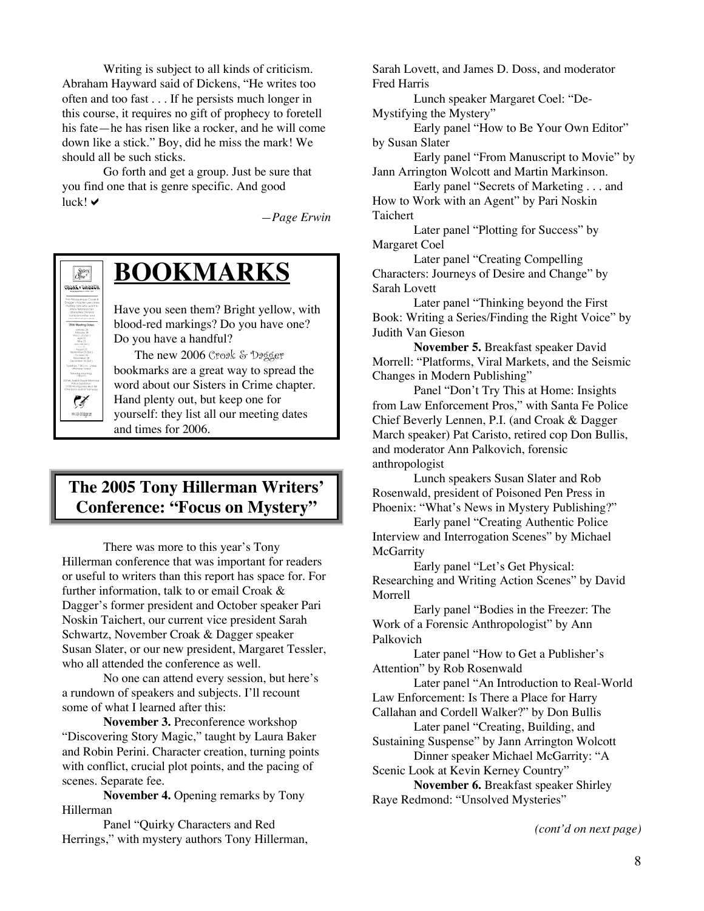Writing is subject to all kinds of criticism. Abraham Hayward said of Dickens, "He writes too often and too fast . . . If he persists much longer in this course, it requires no gift of prophecy to foretell his fate—he has risen like a rocker, and he will come down like a stick." Boy, did he miss the mark! We should all be such sticks.

Go forth and get a group. Just be sure that you find one that is genre specific. And good  $luck! \vee$ 

*—Page Erwin*



## **BOOKMARKS**

Have you seen them? Bright yellow, with blood-red markings? Do you have one? Do you have a handful?

The new 2006 Croak & Dagger bookmarks are a great way to spread the word about our Sisters in Crime chapter. Hand plenty out, but keep one for yourself: they list all our meeting dates and times for 2006.

### **The 2005 Tony Hillerman Writers' Conference: "Focus on Mystery"**

There was more to this year's Tony Hillerman conference that was important for readers or useful to writers than this report has space for. For further information, talk to or email Croak & Dagger's former president and October speaker Pari Noskin Taichert, our current vice president Sarah Schwartz, November Croak & Dagger speaker Susan Slater, or our new president, Margaret Tessler, who all attended the conference as well.

No one can attend every session, but here's a rundown of speakers and subjects. I'll recount some of what I learned after this:

**November 3.** Preconference workshop "Discovering Story Magic," taught by Laura Baker and Robin Perini. Character creation, turning points with conflict, crucial plot points, and the pacing of scenes. Separate fee.

**November 4.** Opening remarks by Tony Hillerman

Panel "Quirky Characters and Red Herrings," with mystery authors Tony Hillerman, Sarah Lovett, and James D. Doss, and moderator Fred Harris

Lunch speaker Margaret Coel: "De-Mystifying the Mystery"

Early panel "How to Be Your Own Editor" by Susan Slater

Early panel "From Manuscript to Movie" by Jann Arrington Wolcott and Martin Markinson.

Early panel "Secrets of Marketing . . . and How to Work with an Agent" by Pari Noskin Taichert

Later panel "Plotting for Success" by Margaret Coel

Later panel "Creating Compelling Characters: Journeys of Desire and Change" by Sarah Lovett

Later panel "Thinking beyond the First Book: Writing a Series/Finding the Right Voice" by Judith Van Gieson

**November 5.** Breakfast speaker David Morrell: "Platforms, Viral Markets, and the Seismic Changes in Modern Publishing"

Panel "Don't Try This at Home: Insights from Law Enforcement Pros," with Santa Fe Police Chief Beverly Lennen, P.I. (and Croak & Dagger March speaker) Pat Caristo, retired cop Don Bullis, and moderator Ann Palkovich, forensic anthropologist

Lunch speakers Susan Slater and Rob Rosenwald, president of Poisoned Pen Press in Phoenix: "What's News in Mystery Publishing?"

Early panel "Creating Authentic Police Interview and Interrogation Scenes" by Michael **McGarrity** 

Early panel "Let's Get Physical: Researching and Writing Action Scenes" by David Morrell

Early panel "Bodies in the Freezer: The Work of a Forensic Anthropologist" by Ann Palkovich

Later panel "How to Get a Publisher's Attention" by Rob Rosenwald

Later panel "An Introduction to Real-World Law Enforcement: Is There a Place for Harry Callahan and Cordell Walker?" by Don Bullis

Later panel "Creating, Building, and

Sustaining Suspense" by Jann Arrington Wolcott Dinner speaker Michael McGarrity: "A

Scenic Look at Kevin Kerney Country"

**November 6.** Breakfast speaker Shirley Raye Redmond: "Unsolved Mysteries"

*(cont'd on next page)*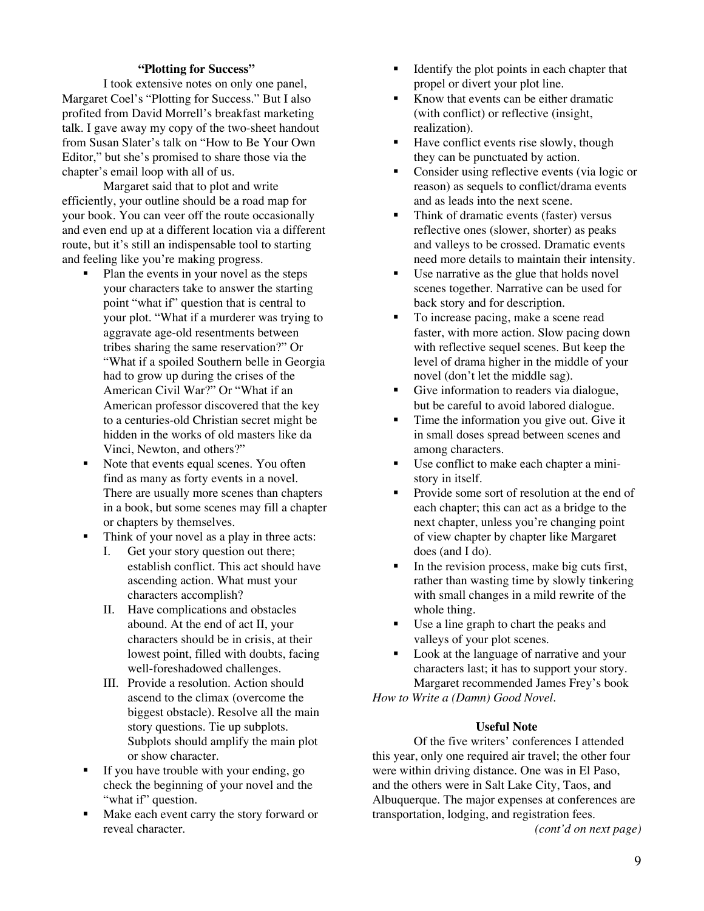#### **"Plotting for Success"**

I took extensive notes on only one panel, Margaret Coel's "Plotting for Success." But I also profited from David Morrell's breakfast marketing talk. I gave away my copy of the two-sheet handout from Susan Slater's talk on "How to Be Your Own Editor," but she's promised to share those via the chapter's email loop with all of us.

Margaret said that to plot and write efficiently, your outline should be a road map for your book. You can veer off the route occasionally and even end up at a different location via a different route, but it's still an indispensable tool to starting and feeling like you're making progress.

- Plan the events in your novel as the steps your characters take to answer the starting point "what if" question that is central to your plot. "What if a murderer was trying to aggravate age-old resentments between tribes sharing the same reservation?" Or "What if a spoiled Southern belle in Georgia had to grow up during the crises of the American Civil War?" Or "What if an American professor discovered that the key to a centuries-old Christian secret might be hidden in the works of old masters like da Vinci, Newton, and others?"
- Note that events equal scenes. You often find as many as forty events in a novel. There are usually more scenes than chapters in a book, but some scenes may fill a chapter or chapters by themselves.
- Think of your novel as a play in three acts:
	- I. Get your story question out there; establish conflict. This act should have ascending action. What must your characters accomplish?
	- II. Have complications and obstacles abound. At the end of act II, your characters should be in crisis, at their lowest point, filled with doubts, facing well-foreshadowed challenges.
	- III. Provide a resolution. Action should ascend to the climax (overcome the biggest obstacle). Resolve all the main story questions. Tie up subplots. Subplots should amplify the main plot or show character.
- If you have trouble with your ending, go check the beginning of your novel and the "what if" question.
- Make each event carry the story forward or reveal character.
- Identify the plot points in each chapter that propel or divert your plot line.
- Know that events can be either dramatic (with conflict) or reflective (insight, realization).
- Have conflict events rise slowly, though they can be punctuated by action.
- Consider using reflective events (via logic or reason) as sequels to conflict/drama events and as leads into the next scene.
- Think of dramatic events (faster) versus reflective ones (slower, shorter) as peaks and valleys to be crossed. Dramatic events need more details to maintain their intensity.
- Use narrative as the glue that holds novel scenes together. Narrative can be used for back story and for description.
- To increase pacing, make a scene read faster, with more action. Slow pacing down with reflective sequel scenes. But keep the level of drama higher in the middle of your novel (don't let the middle sag).
- Give information to readers via dialogue, but be careful to avoid labored dialogue.
- Time the information you give out. Give it in small doses spread between scenes and among characters.
- Use conflict to make each chapter a ministory in itself.
- Provide some sort of resolution at the end of each chapter; this can act as a bridge to the next chapter, unless you're changing point of view chapter by chapter like Margaret does (and I do).
- $\blacksquare$  In the revision process, make big cuts first, rather than wasting time by slowly tinkering with small changes in a mild rewrite of the whole thing.
- Use a line graph to chart the peaks and valleys of your plot scenes.
- Look at the language of narrative and your characters last; it has to support your story. Margaret recommended James Frey's book

*How to Write a (Damn) Good Novel*.

#### **Useful Note**

Of the five writers' conferences I attended this year, only one required air travel; the other four were within driving distance. One was in El Paso, and the others were in Salt Lake City, Taos, and Albuquerque. The major expenses at conferences are transportation, lodging, and registration fees. *(cont'd on next page)*

9